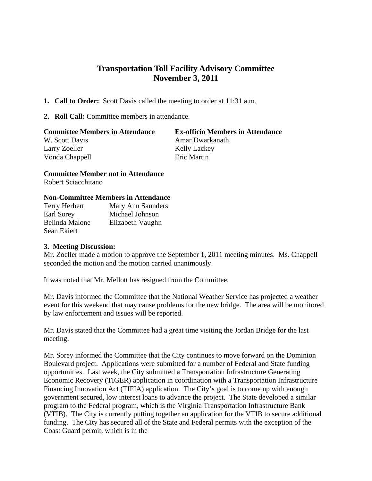## **Transportation Toll Facility Advisory Committee November 3, 2011**

- **1. Call to Order:** Scott Davis called the meeting to order at 11:31 a.m.
- **2. Roll Call:** Committee members in attendance.

| <b>Committee Members in Attendance</b> | <b>Ex-officio Members in Attendance</b> |
|----------------------------------------|-----------------------------------------|
| W. Scott Davis                         | Amar Dwarkanath                         |
| Larry Zoeller                          | <b>Kelly Lackey</b>                     |
| Vonda Chappell                         | Eric Martin                             |

**Committee Member not in Attendance** Robert Sciacchitano

## **Non-Committee Members in Attendance**

| Terry Herbert  | Mary Ann Saunders |
|----------------|-------------------|
| Earl Sorey     | Michael Johnson   |
| Belinda Malone | Elizabeth Vaughn  |
| Sean Ekiert    |                   |

## **3. Meeting Discussion:**

Mr. Zoeller made a motion to approve the September 1, 2011 meeting minutes. Ms. Chappell seconded the motion and the motion carried unanimously.

It was noted that Mr. Mellott has resigned from the Committee.

Mr. Davis informed the Committee that the National Weather Service has projected a weather event for this weekend that may cause problems for the new bridge. The area will be monitored by law enforcement and issues will be reported.

Mr. Davis stated that the Committee had a great time visiting the Jordan Bridge for the last meeting.

Mr. Sorey informed the Committee that the City continues to move forward on the Dominion Boulevard project. Applications were submitted for a number of Federal and State funding opportunities. Last week, the City submitted a Transportation Infrastructure Generating Economic Recovery (TIGER) application in coordination with a Transportation Infrastructure Financing Innovation Act (TIFIA) application. The City's goal is to come up with enough government secured, low interest loans to advance the project. The State developed a similar program to the Federal program, which is the Virginia Transportation Infrastructure Bank (VTIB). The City is currently putting together an application for the VTIB to secure additional funding. The City has secured all of the State and Federal permits with the exception of the Coast Guard permit, which is in the